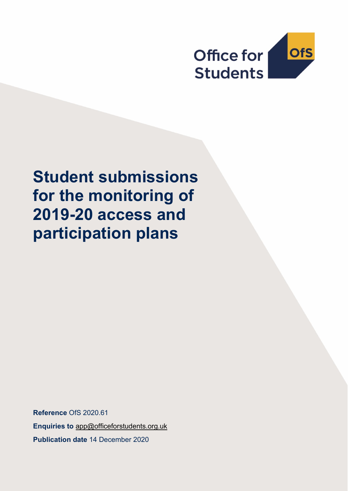

# **Student submissions for the monitoring of 2019-20 access and participation plans**

**Reference** OfS 2020.61 **Enquiries to** [app@officeforstudents.org.uk](mailto:app@officeforstudents.org.uk) **Publication date** 14 December 2020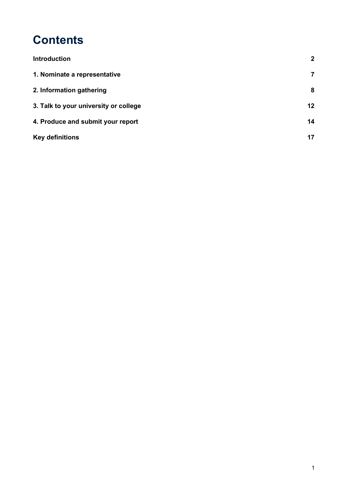## **Contents**

| <b>Introduction</b>                   | $\mathbf{2}$      |
|---------------------------------------|-------------------|
| 1. Nominate a representative          | $\overline{7}$    |
| 2. Information gathering              | 8                 |
| 3. Talk to your university or college | $12 \overline{ }$ |
| 4. Produce and submit your report     | 14                |
| <b>Key definitions</b>                | 17                |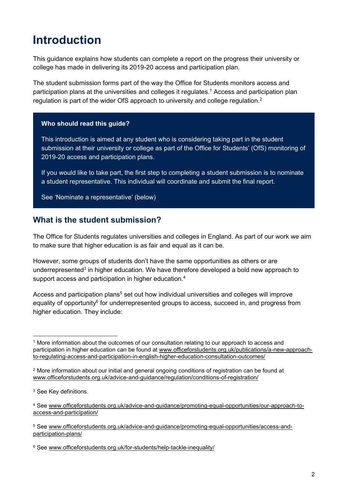## <span id="page-2-0"></span>**Introduction**

This guidance explains how students can complete a report on the progress their university or college has made in delivering its 2019-20 access and participation plan.

The student submission forms part of the way the Office for Students monitors access and participation plans at the universities and colleges it regulates.<sup>1</sup> Access and participation plan regulation is part of the wider OfS approach to university and college regulation.<sup>2</sup>

#### **Who should read this guide?**

This introduction is aimed at any student who is considering taking part in the student submission at their university or college as part of the Office for Students' (OfS) monitoring of 2019-20 access and participation plans.

If you would like to take part, the first step to completing a student submission is to nominate a student representative. This individual will coordinate and submit the final report.

See 'Nominate a representative' (below)

### **What is the student submission?**

The Office for Students regulates universities and colleges in England. As part of our work we aim to make sure that higher education is as fair and equal as it can be.

However, some groups of students don't have the same opportunities as others or are underrepresented<sup>3</sup> in higher education. We have therefore developed a bold new approach to support access and participation in higher education.<sup>4</sup>

Access and participation plans<sup>5</sup> set out how individual universities and colleges will improve equality of opportunity<sup>6</sup> for underrepresented groups to access, succeed in, and progress from higher education. They include:

<sup>1</sup> More information about the outcomes of our consultation relating to our approach to access and participation in higher education can be found [at](https://www.officeforstudents.org.uk/publications/a-new-approach-to-regulating-access-and-participation-in-english-higher-education-consultation-outcomes/) [www.officeforstudents.org.uk/publications/a-new-approach](http://www.officeforstudents.org.uk/publications/a-new-approach-to-regulating-access-and-participation-in-english-higher-education-consultation-outcomes/)[to-regulating-access-and-participation-in-english-higher-education-consultation-outcomes/](http://www.officeforstudents.org.uk/publications/a-new-approach-to-regulating-access-and-participation-in-english-higher-education-consultation-outcomes/)

<sup>2</sup> More information about our initial and general ongoing conditions of registration can be found at [www.officeforstudents.org.uk/advice-and-guidance/regulation/conditions-of-registration/](http://www.officeforstudents.org.uk/advice-and-guidance/regulation/conditions-of-registration/)

<sup>&</sup>lt;sup>3</sup> See Key definitions.

<sup>4</sup> See [www.officeforstudents.org.uk/advice-and-guidance/promoting-equal-opportunities/our-approach-to](http://www.officeforstudents.org.uk/advice-and-guidance/promoting-equal-opportunities/our-approach-to-access-and-participation/)[access-and-participation/](http://www.officeforstudents.org.uk/advice-and-guidance/promoting-equal-opportunities/our-approach-to-access-and-participation/)

<sup>5</sup> See [www.officeforstudents.org.uk/advice-and-guidance/promoting-equal-opportunities/access-and](http://www.officeforstudents.org.uk/advice-and-guidance/promoting-equal-opportunities/access-and-participation-plans/)[participation-plans/](http://www.officeforstudents.org.uk/advice-and-guidance/promoting-equal-opportunities/access-and-participation-plans/)

<sup>6</sup> See [www.officeforstudents.org.uk/for-students/help-tackle-inequality/](http://www.officeforstudents.org.uk/for-students/help-tackle-inequality/)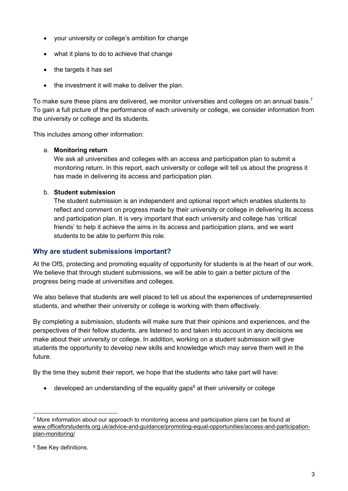- your university or college's ambition for change
- what it plans to do to achieve that change
- the targets it has set
- the investment it will make to deliver the plan.

To make sure these plans are delivered, we monitor universities and colleges on an annual basis.<sup>7</sup> To gain a full picture of the performance of each university or college, we consider information from the university or college and its students.

This includes among other information:

#### a. **Monitoring return**

We ask all universities and colleges with an access and participation plan to submit a monitoring return. In this report, each university or college will tell us about the progress it has made in delivering its access and participation plan.

#### b. **Student submission**

The student submission is an independent and optional report which enables students to reflect and comment on progress made by their university or college in delivering its access and participation plan. It is very important that each university and college has 'critical friends' to help it achieve the aims in its access and participation plans, and we want students to be able to perform this role.

#### **Why are student submissions important?**

At the OfS, protecting and promoting equality of opportunity for students is at the heart of our work. We believe that through student submissions, we will be able to gain a better picture of the progress being made at universities and colleges.

We also believe that students are well placed to tell us about the experiences of underrepresented students, and whether their university or college is working with them effectively.

By completing a submission, students will make sure that their opinions and experiences, and the perspectives of their fellow students, are listened to and taken into account in any decisions we make about their university or college. In addition, working on a student submission will give students the opportunity to develop new skills and knowledge which may serve them well in the future.

By the time they submit their report, we hope that the students who take part will have:

• developed an understanding of the equality gaps<sup>8</sup> at their university or college

 $7$  More information about our approach to monitoring access and participation plans can be found at [www.officeforstudents.org.uk/advice-and-guidance/promoting-equal-opportunities/access-and-participation](http://www.officeforstudents.org.uk/advice-and-guidance/promoting-equal-opportunities/access-and-participation-plan-monitoring/)[plan-monitoring/](http://www.officeforstudents.org.uk/advice-and-guidance/promoting-equal-opportunities/access-and-participation-plan-monitoring/)

<sup>8</sup> See Key definitions.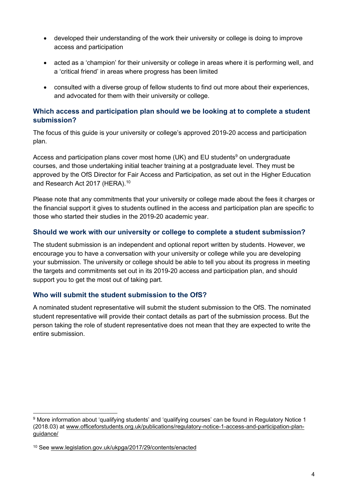- developed their understanding of the work their university or college is doing to improve access and participation
- acted as a 'champion' for their university or college in areas where it is performing well, and a 'critical friend' in areas where progress has been limited
- consulted with a diverse group of fellow students to find out more about their experiences, and advocated for them with their university or college.

#### **Which access and participation plan should we be looking at to complete a student submission?**

The focus of this guide is your university or college's approved 2019-20 access and participation plan.

Access and participation plans cover most home (UK) and EU students<sup>9</sup> on undergraduate courses, and those undertaking initial teacher training at a postgraduate level. They must be approved by the OfS Director for Fair Access and Participation, as set out in the Higher Education and Research Act 2017 (HERA).<sup>10</sup>

Please note that any commitments that your university or college made about the fees it charges or the financial support it gives to students outlined in the access and participation plan are specific to those who started their studies in the 2019-20 academic year.

#### **Should we work with our university or college to complete a student submission?**

The student submission is an independent and optional report written by students. However, we encourage you to have a conversation with your university or college while you are developing your submission. The university or college should be able to tell you about its progress in meeting the targets and commitments set out in its 2019-20 access and participation plan, and should support you to get the most out of taking part.

#### **Who will submit the student submission to the OfS?**

A nominated student representative will submit the student submission to the OfS. The nominated student representative will provide their contact details as part of the submission process. But the person taking the role of student representative does not mean that they are expected to write the entire submission.

<sup>9</sup> More information about 'qualifying students' and 'qualifying courses' can be found in Regulatory Notice 1 (2018.03) at [www.officeforstudents.org.uk/publications/regulatory-notice-1-access-and-participation-plan](http://www.officeforstudents.org.uk/publications/regulatory-notice-1-access-and-participation-plan-guidance/)[guidance/](http://www.officeforstudents.org.uk/publications/regulatory-notice-1-access-and-participation-plan-guidance/)

<sup>10</sup> See [www.legislation.gov.uk/ukpga/2017/29/contents/enacted](http://www.legislation.gov.uk/ukpga/2017/29/contents/enacted)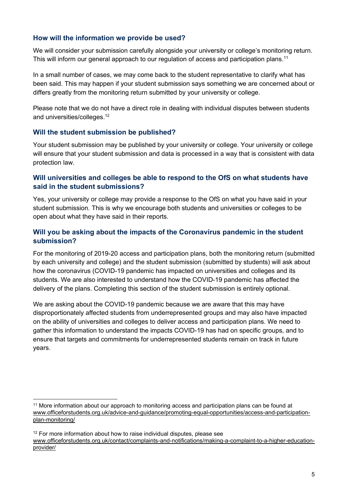#### **How will the information we provide be used?**

We will consider your submission carefully alongside your university or college's monitoring return. This will inform our general approach to our regulation of access and participation plans.<sup>11</sup>

In a small number of cases, we may come back to the student representative to clarify what has been said. This may happen if your student submission says something we are concerned about or differs greatly from the monitoring return submitted by your university or college.

Please note that we do not have a direct role in dealing with individual disputes between students and universities/colleges. 12

#### **Will the student submission be published?**

Your student submission may be published by your university or college. Your university or college will ensure that your student submission and data is processed in a way that is consistent with data protection law.

#### **Will universities and colleges be able to respond to the OfS on what students have said in the student submissions?**

Yes, your university or college may provide a response to the OfS on what you have said in your student submission. This is why we encourage both students and universities or colleges to be open about what they have said in their reports.

#### **Will you be asking about the impacts of the Coronavirus pandemic in the student submission?**

For the monitoring of 2019-20 access and participation plans, both the monitoring return (submitted by each university and college) and the student submission (submitted by students) will ask about how the coronavirus (COVID-19 pandemic has impacted on universities and colleges and its students. We are also interested to understand how the COVID-19 pandemic has affected the delivery of the plans. Completing this section of the student submission is entirely optional.

We are asking about the COVID-19 pandemic because we are aware that this may have disproportionately affected students from underrepresented groups and may also have impacted on the ability of universities and colleges to deliver access and participation plans. We need to gather this information to understand the impacts COVID-19 has had on specific groups, and to ensure that targets and commitments for underrepresented students remain on track in future years.

<sup>&</sup>lt;sup>11</sup> More information about our approach to monitoring access and participation plans can be found at [www.officeforstudents.org.uk/advice-and-guidance/promoting-equal-opportunities/access-and-participation](http://www.officeforstudents.org.uk/advice-and-guidance/promoting-equal-opportunities/access-and-participation-plan-monitoring/)[plan-monitoring/](http://www.officeforstudents.org.uk/advice-and-guidance/promoting-equal-opportunities/access-and-participation-plan-monitoring/)

<sup>&</sup>lt;sup>12</sup> For more information about how to raise individual disputes, please see [www.officeforstudents.org.uk/contact/complaints-and-notifications/making-a-complaint-to-a-higher-education](http://www.officeforstudents.org.uk/contact/complaints-and-notifications/making-a-complaint-to-a-higher-education-provider/)[provider/](http://www.officeforstudents.org.uk/contact/complaints-and-notifications/making-a-complaint-to-a-higher-education-provider/)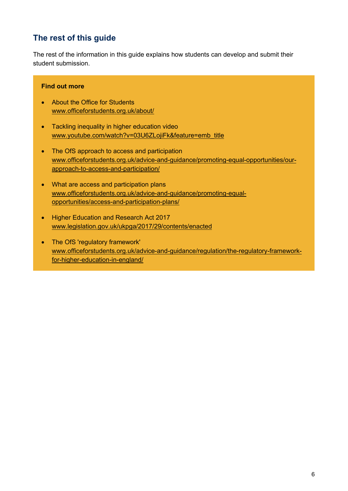## **The rest of this guide**

The rest of the information in this guide explains how students can develop and submit their student submission.

#### **Find out more**

- About the Office for Students [www.officeforstudents.org.uk/about/](http://www.officeforstudents.org.uk/about/)
- Tackling inequality in higher education video [www.youtube.com/watch?v=03U6ZLojiFk&feature=emb\\_title](http://www.youtube.com/watch?v=03U6ZLojiFk&feature=emb_title)
- The OfS approach to access and participation [www.officeforstudents.org.uk/advice-and-guidance/promoting-equal-opportunities/our](http://www.officeforstudents.org.uk/advice-and-guidance/promoting-equal-opportunities/our-approach-to-access-and-participation/)[approach-to-access-and-participation/](http://www.officeforstudents.org.uk/advice-and-guidance/promoting-equal-opportunities/our-approach-to-access-and-participation/)
- What are access and participation plans [www.officeforstudents.org.uk/advice-and-guidance/promoting-equal](http://www.officeforstudents.org.uk/advice-and-guidance/promoting-equal-opportunities/access-and-participation-plans/)[opportunities/access-and-participation-plans/](http://www.officeforstudents.org.uk/advice-and-guidance/promoting-equal-opportunities/access-and-participation-plans/)
- Higher Education and Research Act 2017 [www.legislation.gov.uk/ukpga/2017/29/contents/enacted](http://www.legislation.gov.uk/ukpga/2017/29/contents/enacted)
- The OfS 'regulatory framework' [www.officeforstudents.org.uk/advice-and-guidance/regulation/the-regulatory-framework](http://www.officeforstudents.org.uk/advice-and-guidance/regulation/the-regulatory-framework-for-higher-education-in-england/)[for-higher-education-in-england/](http://www.officeforstudents.org.uk/advice-and-guidance/regulation/the-regulatory-framework-for-higher-education-in-england/)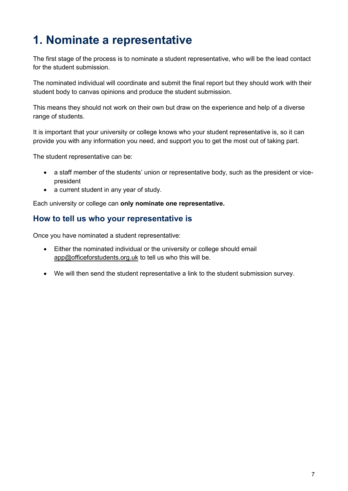## <span id="page-7-0"></span>**1. Nominate a representative**

The first stage of the process is to nominate a student representative, who will be the lead contact for the student submission.

The nominated individual will coordinate and submit the final report but they should work with their student body to canvas opinions and produce the student submission.

This means they should not work on their own but draw on the experience and help of a diverse range of students.

It is important that your university or college knows who your student representative is, so it can provide you with any information you need, and support you to get the most out of taking part.

The student representative can be:

- a staff member of the students' union or representative body, such as the president or vicepresident
- a current student in any year of study.

Each university or college can **only nominate one representative.**

### **How to tell us who your representative is**

Once you have nominated a student representative:

- Either the nominated individual or the university or college should email [app@officeforstudents.org.uk](mailto:app@officeforstudents.org.uk) to tell us who this will be.
- We will then send the student representative a link to the student submission survey.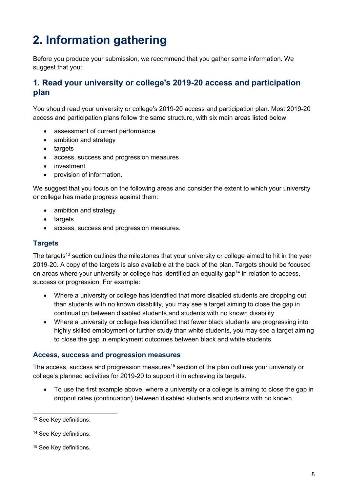## <span id="page-8-0"></span>**2. Information gathering**

Before you produce your submission, we recommend that you gather some information. We suggest that you:

### **1. Read your university or college's 2019-20 access and participation plan**

You should read your university or college's 2019-20 access and participation plan. Most 2019-20 access and participation plans follow the same structure, with six main areas listed below:

- assessment of current performance
- ambition and strategy
- targets
- access, success and progression measures
- investment
- provision of information.

We suggest that you focus on the following areas and consider the extent to which your university or college has made progress against them:

- ambition and strategy
- targets
- access, success and progression measures.

#### **Targets**

The targets<sup>13</sup> section outlines the milestones that your university or college aimed to hit in the year 2019-20. A copy of the targets is also available at the back of the plan. Targets should be focused on areas where your university or college has identified an equality gap<sup>14</sup> in relation to access, success or progression. For example:

- Where a university or college has identified that more disabled students are dropping out than students with no known disability, you may see a target aiming to close the gap in continuation between disabled students and students with no known disability
- Where a university or college has identified that fewer black students are progressing into highly skilled employment or further study than white students, you may see a target aiming to close the gap in employment outcomes between black and white students.

#### **Access, success and progression measures**

The access, success and progression measures<sup>15</sup> section of the plan outlines your university or college's planned activities for 2019-20 to support it in achieving its targets.

• To use the first example above, where a university or a college is aiming to close the gap in dropout rates (continuation) between disabled students and students with no known

<sup>&</sup>lt;sup>13</sup> See Key definitions.

<sup>&</sup>lt;sup>14</sup> See Key definitions.

<sup>&</sup>lt;sup>15</sup> See Key definitions.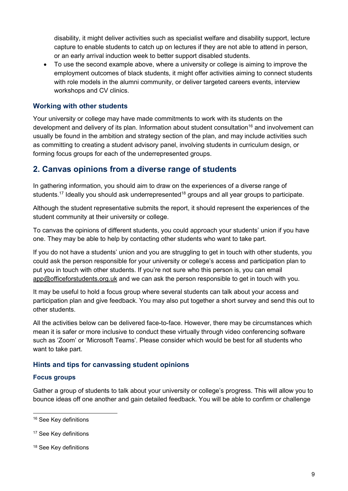disability, it might deliver activities such as specialist welfare and disability support, lecture capture to enable students to catch up on lectures if they are not able to attend in person, or an early arrival induction week to better support disabled students.

• To use the second example above, where a university or college is aiming to improve the employment outcomes of black students, it might offer activities aiming to connect students with role models in the alumni community, or deliver targeted careers events, interview workshops and CV clinics.

#### **Working with other students**

Your university or college may have made commitments to work with its students on the development and delivery of its plan. Information about student consultation<sup>16</sup> and involvement can usually be found in the ambition and strategy section of the plan, and may include activities such as committing to creating a student advisory panel, involving students in curriculum design, or forming focus groups for each of the underrepresented groups.

### **2. Canvas opinions from a diverse range of students**

In gathering information, you should aim to draw on the experiences of a diverse range of students.<sup>17</sup> Ideally you should ask underrepresented<sup>18</sup> groups and all year groups to participate.

Although the student representative submits the report, it should represent the experiences of the student community at their university or college.

To canvas the opinions of different students, you could approach your students' union if you have one. They may be able to help by contacting other students who want to take part.

If you do not have a students' union and you are struggling to get in touch with other students, you could ask the person responsible for your university or college's access and participation plan to put you in touch with other students. If you're not sure who this person is, you can email [app@officeforstudents.org.uk](mailto:app@officeforstudents.org.uk) and we can ask the person responsible to get in touch with you.

It may be useful to hold a focus group where several students can talk about your access and participation plan and give feedback. You may also put together a short survey and send this out to other students.

All the activities below can be delivered face-to-face. However, there may be circumstances which mean it is safer or more inclusive to conduct these virtually through video conferencing software such as 'Zoom' or 'Microsoft Teams'. Please consider which would be best for all students who want to take part.

#### **Hints and tips for canvassing student opinions**

#### **Focus groups**

Gather a group of students to talk about your university or college's progress. This will allow you to bounce ideas off one another and gain detailed feedback. You will be able to confirm or challenge

<sup>&</sup>lt;sup>16</sup> See Key definitions

<sup>&</sup>lt;sup>17</sup> See Key definitions

<sup>&</sup>lt;sup>18</sup> See Key definitions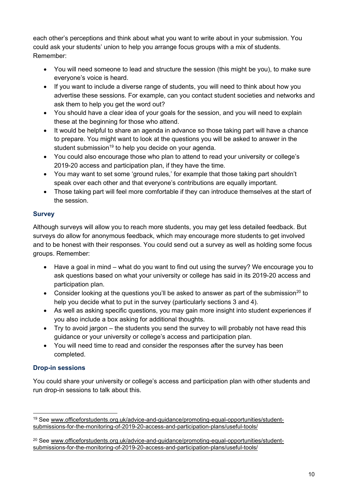each other's perceptions and think about what you want to write about in your submission. You could ask your students' union to help you arrange focus groups with a mix of students. Remember:

- You will need someone to lead and structure the session (this might be you), to make sure everyone's voice is heard.
- If you want to include a diverse range of students, you will need to think about how you advertise these sessions. For example, can you contact student societies and networks and ask them to help you get the word out?
- You should have a clear idea of your goals for the session, and you will need to explain these at the beginning for those who attend.
- It would be helpful to share an agenda in advance so those taking part will have a chance to prepare. You might want to look at the questions you will be asked to answer in the student submission<sup>19</sup> to help you decide on your agenda.
- You could also encourage those who plan to attend to read your university or college's 2019-20 access and participation plan, if they have the time.
- You may want to set some 'ground rules,' for example that those taking part shouldn't speak over each other and that everyone's contributions are equally important.
- Those taking part will feel more comfortable if they can introduce themselves at the start of the session.

#### **Survey**

Although surveys will allow you to reach more students, you may get less detailed feedback. But surveys do allow for anonymous feedback, which may encourage more students to get involved and to be honest with their responses. You could send out a survey as well as holding some focus groups. Remember:

- Have a goal in mind what do you want to find out using the survey? We encourage you to ask questions based on what your university or college has said in its 2019-20 access and participation plan.
- Consider looking at the questions you'll be asked to answer as part of the submission<sup>20</sup> to help you decide what to put in the survey (particularly sections 3 and 4).
- As well as asking specific questions, you may gain more insight into student experiences if you also include a box asking for additional thoughts.
- Try to avoid jargon the students you send the survey to will probably not have read this guidance or your university or college's access and participation plan.
- You will need time to read and consider the responses after the survey has been completed.

#### **Drop-in sessions**

You could share your university or college's access and participation plan with other students and run drop-in sessions to talk about this.

<sup>19</sup> See [www.officeforstudents.org.uk/advice-and-guidance/promoting-equal-opportunities/student](http://www.officeforstudents.org.uk/advice-and-guidance/promoting-equal-opportunities/student-submissions-for-the-monitoring-of-2019-20-access-and-participation-plans/useful-tools/)[submissions-for-the-monitoring-of-2019-20-access-and-participation-plans/useful-tools/](http://www.officeforstudents.org.uk/advice-and-guidance/promoting-equal-opportunities/student-submissions-for-the-monitoring-of-2019-20-access-and-participation-plans/useful-tools/)

<sup>&</sup>lt;sup>20</sup> See [www.officeforstudents.org.uk/advice-and-guidance/promoting-equal-opportunities/student](http://www.officeforstudents.org.uk/advice-and-guidance/promoting-equal-opportunities/student-submissions-for-the-monitoring-of-2019-20-access-and-participation-plans/useful-tools/)[submissions-for-the-monitoring-of-2019-20-access-and-participation-plans/useful-tools/](http://www.officeforstudents.org.uk/advice-and-guidance/promoting-equal-opportunities/student-submissions-for-the-monitoring-of-2019-20-access-and-participation-plans/useful-tools/)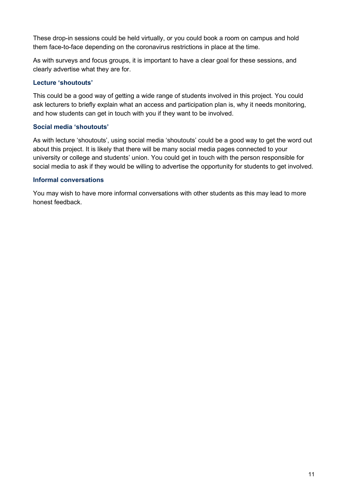These drop-in sessions could be held virtually, or you could book a room on campus and hold them face-to-face depending on the coronavirus restrictions in place at the time.

As with surveys and focus groups, it is important to have a clear goal for these sessions, and clearly advertise what they are for.

#### **Lecture 'shoutouts'**

This could be a good way of getting a wide range of students involved in this project. You could ask lecturers to briefly explain what an access and participation plan is, why it needs monitoring, and how students can get in touch with you if they want to be involved.

#### **Social media 'shoutouts'**

As with lecture 'shoutouts', using social media 'shoutouts' could be a good way to get the word out about this project. It is likely that there will be many social media pages connected to your university or college and students' union. You could get in touch with the person responsible for social media to ask if they would be willing to advertise the opportunity for students to get involved.

#### **Informal conversations**

You may wish to have more informal conversations with other students as this may lead to more honest feedback.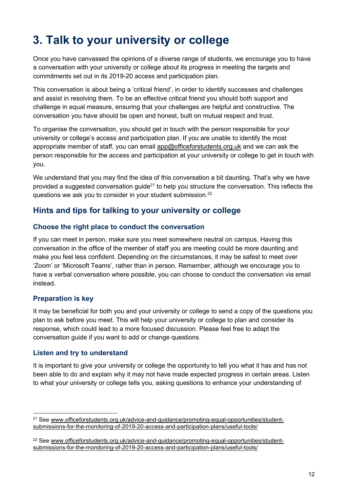## <span id="page-12-0"></span>**3. Talk to your university or college**

Once you have canvassed the opinions of a diverse range of students, we encourage you to have a conversation with your university or college about its progress in meeting the targets and commitments set out in its 2019-20 access and participation plan.

This conversation is about being a 'critical friend', in order to identify successes and challenges and assist in resolving them. To be an effective critical friend you should both support and challenge in equal measure, ensuring that your challenges are helpful and constructive. The conversation you have should be open and honest, built on mutual respect and trust.

To organise the conversation, you should get in touch with the person responsible for your university or college's access and participation plan. If you are unable to identify the most appropriate member of staff, you can email [app@officeforstudents.org.uk](mailto:app@officeforstudents.org.uk) and we can ask the person responsible for the access and participation at your university or college to get in touch with you.

We understand that you may find the idea of this conversation a bit daunting. That's why we have provided a suggested conversation guide<sup>21</sup> to help you structure the conversation. This reflects the questions we ask you to consider in your student submission.<sup>22</sup>

## **Hints and tips for talking to your university or college**

#### **Choose the right place to conduct the conversation**

If you can meet in person, make sure you meet somewhere neutral on campus. Having this conversation in the office of the member of staff you are meeting could be more daunting and make you feel less confident. Depending on the circumstances, it may be safest to meet over 'Zoom' or 'Microsoft Teams', rather than in person. Remember, although we encourage you to have a verbal conversation where possible, you can choose to conduct the conversation via email instead.

#### **Preparation is key**

It may be beneficial for both you and your university or college to send a copy of the questions you plan to ask before you meet. This will help your university or college to plan and consider its response, which could lead to a more focused discussion. Please feel free to adapt the conversation guide if you want to add or change questions.

#### **Listen and try to understand**

It is important to give your university or college the opportunity to tell you what it has and has not been able to do and explain why it may not have made expected progress in certain areas. Listen to what your university or college tells you, asking questions to enhance your understanding of

<sup>&</sup>lt;sup>21</sup> See [www.officeforstudents.org.uk/advice-and-guidance/promoting-equal-opportunities/student](http://www.officeforstudents.org.uk/advice-and-guidance/promoting-equal-opportunities/student-submissions-for-the-monitoring-of-2019-20-access-and-participation-plans/useful-tools/)[submissions-for-the-monitoring-of-2019-20-access-and-participation-plans/useful-tools/](http://www.officeforstudents.org.uk/advice-and-guidance/promoting-equal-opportunities/student-submissions-for-the-monitoring-of-2019-20-access-and-participation-plans/useful-tools/)

<sup>&</sup>lt;sup>22</sup> See [www.officeforstudents.org.uk/advice-and-guidance/promoting-equal-opportunities/student](http://www.officeforstudents.org.uk/advice-and-guidance/promoting-equal-opportunities/student-submissions-for-the-monitoring-of-2019-20-access-and-participation-plans/useful-tools/)[submissions-for-the-monitoring-of-2019-20-access-and-participation-plans/useful-tools/](http://www.officeforstudents.org.uk/advice-and-guidance/promoting-equal-opportunities/student-submissions-for-the-monitoring-of-2019-20-access-and-participation-plans/useful-tools/)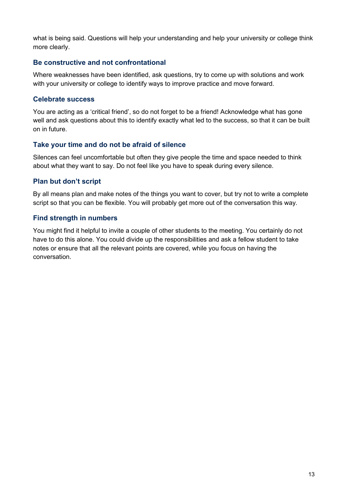what is being said. Questions will help your understanding and help your university or college think more clearly.

#### **Be constructive and not confrontational**

Where weaknesses have been identified, ask questions, try to come up with solutions and work with your university or college to identify ways to improve practice and move forward.

#### **Celebrate success**

You are acting as a 'critical friend', so do not forget to be a friend! Acknowledge what has gone well and ask questions about this to identify exactly what led to the success, so that it can be built on in future.

#### **Take your time and do not be afraid of silence**

Silences can feel uncomfortable but often they give people the time and space needed to think about what they want to say. Do not feel like you have to speak during every silence.

#### **Plan but don't script**

By all means plan and make notes of the things you want to cover, but try not to write a complete script so that you can be flexible. You will probably get more out of the conversation this way.

#### **Find strength in numbers**

You might find it helpful to invite a couple of other students to the meeting. You certainly do not have to do this alone. You could divide up the responsibilities and ask a fellow student to take notes or ensure that all the relevant points are covered, while you focus on having the conversation.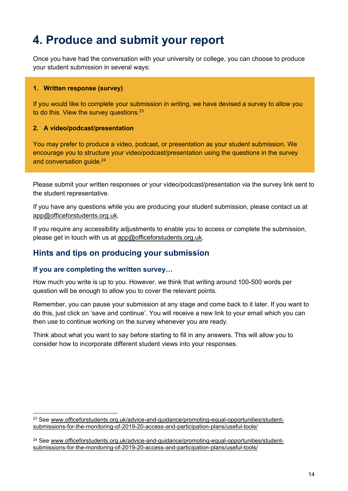## <span id="page-14-0"></span>**4. Produce and submit your report**

Once you have had the conversation with your university or college, you can choose to produce your student submission in several ways:

#### **1. Written response (survey)**

If you would like to complete your submission in writing, we have devised a survey to allow you to do this. View the survey questions.<sup>23</sup>

#### **2. A video/podcast/presentation**

You may prefer to produce a video, podcast, or presentation as your student submission. We encourage you to structure your video/podcast/presentation using the questions in the survey and conversation quide.<sup>24</sup>

Please submit your written responses or your video/podcast/presentation via the survey link sent to the student representative.

If you have any questions while you are producing your student submission, please contact us at [app@officeforstudents.org.uk.](mailto:app@officeforstudents.org.uk)

If you require any accessibility adjustments to enable you to access or complete the submission, please get in touch with us at [app@officeforstudents.org.uk.](mailto:app@officeforstudents.org.uk)

#### **Hints and tips on producing your submission**

#### **If you are completing the written survey…**

How much you write is up to you. However, we think that writing around 100-500 words per question will be enough to allow you to cover the relevant points.

Remember, you can pause your submission at any stage and come back to it later. If you want to do this, just click on 'save and continue'. You will receive a new link to your email which you can then use to continue working on the survey whenever you are ready.

Think about what you want to say before starting to fill in any answers. This will allow you to consider how to incorporate different student views into your responses.

<sup>&</sup>lt;sup>23</sup> See [www.officeforstudents.org.uk/advice-and-guidance/promoting-equal-opportunities/student](http://www.officeforstudents.org.uk/advice-and-guidance/promoting-equal-opportunities/student-submissions-for-the-monitoring-of-2019-20-access-and-participation-plans/useful-tools/)[submissions-for-the-monitoring-of-2019-20-access-and-participation-plans/useful-tools/](http://www.officeforstudents.org.uk/advice-and-guidance/promoting-equal-opportunities/student-submissions-for-the-monitoring-of-2019-20-access-and-participation-plans/useful-tools/)

<sup>&</sup>lt;sup>24</sup> See [www.officeforstudents.org.uk/advice-and-guidance/promoting-equal-opportunities/student](http://www.officeforstudents.org.uk/advice-and-guidance/promoting-equal-opportunities/student-submissions-for-the-monitoring-of-2019-20-access-and-participation-plans/useful-tools/)[submissions-for-the-monitoring-of-2019-20-access-and-participation-plans/useful-tools/](http://www.officeforstudents.org.uk/advice-and-guidance/promoting-equal-opportunities/student-submissions-for-the-monitoring-of-2019-20-access-and-participation-plans/useful-tools/)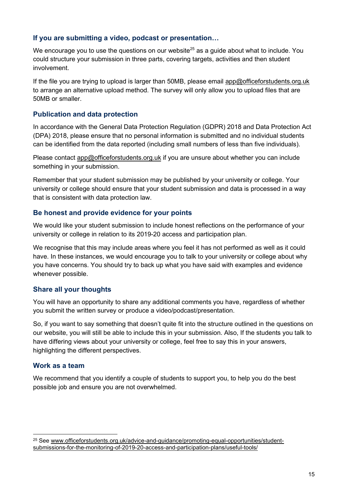#### **If you are submitting a video, podcast or presentation…**

We encourage you to use the questions on our website $25$  as a guide about what to include. You could structure your submission in three parts, covering targets, activities and then student involvement.

If the file you are trying to upload is larger than 50MB, please email [app@officeforstudents.org.uk](mailto:app@officeforstudents.org.uk) to arrange an alternative upload method. The survey will only allow you to upload files that are 50MB or smaller.

#### **Publication and data protection**

In accordance with the General Data Protection Regulation (GDPR) 2018 and Data Protection Act (DPA) 2018, please ensure that no personal information is submitted and no individual students can be identified from the data reported (including small numbers of less than five individuals).

Please contact [app@officeforstudents.org.uk](mailto:app@officeforstudents.org.uk) if you are unsure about whether you can include something in your submission.

Remember that your student submission may be published by your university or college. Your university or college should ensure that your student submission and data is processed in a way that is consistent with data protection law.

#### **Be honest and provide evidence for your points**

We would like your student submission to include honest reflections on the performance of your university or college in relation to its 2019-20 access and participation plan.

We recognise that this may include areas where you feel it has not performed as well as it could have. In these instances, we would encourage you to talk to your university or college about why you have concerns. You should try to back up what you have said with examples and evidence whenever possible.

#### **Share all your thoughts**

You will have an opportunity to share any additional comments you have, regardless of whether you submit the written survey or produce a video/podcast/presentation.

So, if you want to say something that doesn't quite fit into the structure outlined in the questions on our website, you will still be able to include this in your submission. Also, If the students you talk to have differing views about your university or college, feel free to say this in your answers, highlighting the different perspectives.

#### **Work as a team**

We recommend that you identify a couple of students to support you, to help you do the best possible job and ensure you are not overwhelmed.

<sup>&</sup>lt;sup>25</sup> See [www.officeforstudents.org.uk/advice-and-guidance/promoting-equal-opportunities/student](http://www.officeforstudents.org.uk/advice-and-guidance/promoting-equal-opportunities/student-submissions-for-the-monitoring-of-2019-20-access-and-participation-plans/useful-tools/)[submissions-for-the-monitoring-of-2019-20-access-and-participation-plans/useful-tools/](http://www.officeforstudents.org.uk/advice-and-guidance/promoting-equal-opportunities/student-submissions-for-the-monitoring-of-2019-20-access-and-participation-plans/useful-tools/)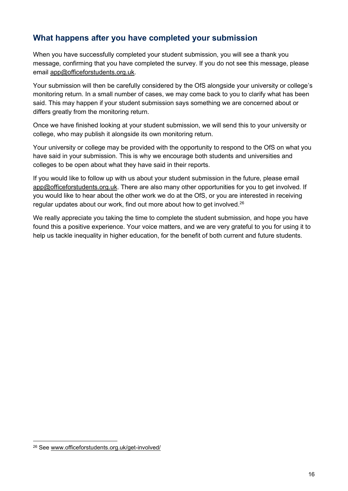## **What happens after you have completed your submission**

When you have successfully completed your student submission, you will see a thank you message, confirming that you have completed the survey. If you do not see this message, please email [app@officeforstudents.org.uk.](mailto:app@officeforstudents.org.uk)

Your submission will then be carefully considered by the OfS alongside your university or college's monitoring return. In a small number of cases, we may come back to you to clarify what has been said. This may happen if your student submission says something we are concerned about or differs greatly from the monitoring return.

Once we have finished looking at your student submission, we will send this to your university or college, who may publish it alongside its own monitoring return.

Your university or college may be provided with the opportunity to respond to the OfS on what you have said in your submission. This is why we encourage both students and universities and colleges to be open about what they have said in their reports.

If you would like to follow up with us about your student submission in the future, please email [app@officeforstudents.org.uk.](mailto:app@officeforstudents.org.uk) There are also many other opportunities for you to get involved. If you would like to hear about the other work we do at the OfS, or you are interested in receiving regular updates about our work, find out more about how to get involved.<sup>26</sup>

We really appreciate you taking the time to complete the student submission, and hope you have found this a positive experience. Your voice matters, and we are very grateful to you for using it to help us tackle inequality in higher education, for the benefit of both current and future students.

<sup>26</sup> See [www.officeforstudents.org.uk/get-involved/](http://www.officeforstudents.org.uk/get-involved/)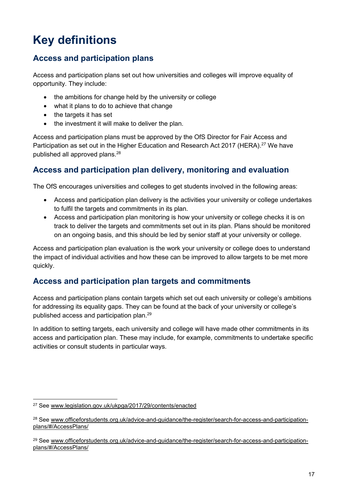## <span id="page-17-0"></span>**Key definitions**

## **Access and participation plans**

Access and participation plans set out how universities and colleges will improve equality of opportunity. They include:

- the ambitions for change held by the university or college
- what it plans to do to achieve that change
- the targets it has set
- the investment it will make to deliver the plan.

Access and participation plans must be approved by the OfS Director for Fair Access and Participation as set out in the Higher Education and Research Act 2017 (HERA).<sup>27</sup> We have published all approved plans.<sup>28</sup>

## **Access and participation plan delivery, monitoring and evaluation**

The OfS encourages universities and colleges to get students involved in the following areas:

- Access and participation plan delivery is the activities your university or college undertakes to fulfil the targets and commitments in its plan.
- Access and participation plan monitoring is how your university or college checks it is on track to deliver the targets and commitments set out in its plan. Plans should be monitored on an ongoing basis, and this should be led by senior staff at your university or college.

Access and participation plan evaluation is the work your university or college does to understand the impact of individual activities and how these can be improved to allow targets to be met more quickly.

## **Access and participation plan targets and commitments**

Access and participation plans contain targets which set out each university or college's ambitions for addressing its equality gaps. They can be found at the back of your university or college's published access and participation plan.<sup>29</sup>

In addition to setting targets, each university and college will have made other commitments in its access and participation plan. These may include, for example, commitments to undertake specific activities or consult students in particular ways.

<sup>27</sup> See [www.legislation.gov.uk/ukpga/2017/29/contents/enacted](http://www.legislation.gov.uk/ukpga/2017/29/contents/enacted)

<sup>&</sup>lt;sup>28</sup> See [www.officeforstudents.org.uk/advice-and-guidance/the-register/search-for-access-and-participation](http://www.officeforstudents.org.uk/advice-and-guidance/the-register/search-for-access-and-participation-plans/#/AccessPlans/)[plans/#/AccessPlans/](http://www.officeforstudents.org.uk/advice-and-guidance/the-register/search-for-access-and-participation-plans/#/AccessPlans/)

<sup>&</sup>lt;sup>29</sup> See [www.officeforstudents.org.uk/advice-and-guidance/the-register/search-for-access-and-participation](http://www.officeforstudents.org.uk/advice-and-guidance/the-register/search-for-access-and-participation-plans/#/AccessPlans/)[plans/#/AccessPlans/](http://www.officeforstudents.org.uk/advice-and-guidance/the-register/search-for-access-and-participation-plans/#/AccessPlans/)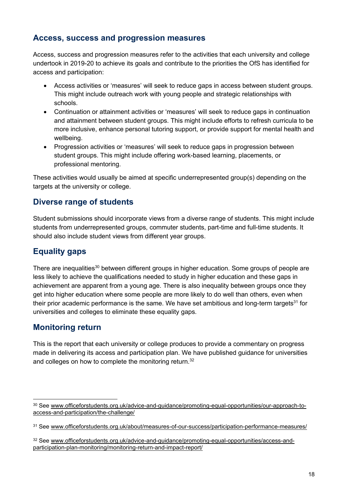### **Access, success and progression measures**

Access, success and progression measures refer to the activities that each university and college undertook in 2019-20 to achieve its goals and contribute to the priorities the OfS has identified for access and participation:

- Access activities or 'measures' will seek to reduce gaps in access between student groups. This might include outreach work with young people and strategic relationships with schools.
- Continuation or attainment activities or 'measures' will seek to reduce gaps in continuation and attainment between student groups. This might include efforts to refresh curricula to be more inclusive, enhance personal tutoring support, or provide support for mental health and wellbeing.
- Progression activities or 'measures' will seek to reduce gaps in progression between student groups. This might include offering work-based learning, placements, or professional mentoring.

These activities would usually be aimed at specific underrepresented group(s) depending on the targets at the university or college.

## **Diverse range of students**

Student submissions should incorporate views from a diverse range of students. This might include students from underrepresented groups, commuter students, part-time and full-time students. It should also include student views from different year groups.

## **Equality gaps**

There are inequalities<sup>30</sup> between different groups in higher education. Some groups of people are less likely to achieve the qualifications needed to study in higher education and these gaps in achievement are apparent from a young age. There is also inequality between groups once they get into higher education where some people are more likely to do well than others, even when their prior academic performance is the same. We have set ambitious and long-term targets $31$  for universities and colleges to eliminate these equality gaps.

### **Monitoring return**

This is the report that each university or college produces to provide a commentary on progress made in delivering its access and participation plan. We have published guidance for universities and colleges on how to complete the monitoring return.<sup>32</sup>

<sup>&</sup>lt;sup>30</sup> See [www.officeforstudents.org.uk/advice-and-guidance/promoting-equal-opportunities/our-approach-to](http://www.officeforstudents.org.uk/advice-and-guidance/promoting-equal-opportunities/our-approach-to-access-and-participation/the-challenge/)[access-and-participation/the-challenge/](http://www.officeforstudents.org.uk/advice-and-guidance/promoting-equal-opportunities/our-approach-to-access-and-participation/the-challenge/)

<sup>31</sup> See [www.officeforstudents.org.uk/about/measures-of-our-success/participation-performance-measures/](http://www.officeforstudents.org.uk/about/measures-of-our-success/participation-performance-measures/)

<sup>32</sup> See [www.officeforstudents.org.uk/advice-and-guidance/promoting-equal-opportunities/access-and](http://www.officeforstudents.org.uk/advice-and-guidance/promoting-equal-opportunities/access-and-participation-plan-monitoring/monitoring-return-and-impact-report/)[participation-plan-monitoring/monitoring-return-and-impact-report/](http://www.officeforstudents.org.uk/advice-and-guidance/promoting-equal-opportunities/access-and-participation-plan-monitoring/monitoring-return-and-impact-report/)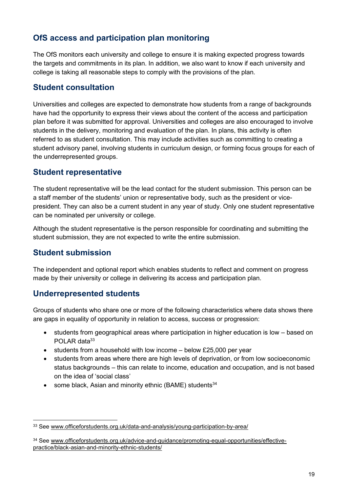## **OfS access and participation plan monitoring**

The OfS monitors each university and college to ensure it is making expected progress towards the targets and commitments in its plan. In addition, we also want to know if each university and college is taking all reasonable steps to comply with the provisions of the plan.

## **Student consultation**

Universities and colleges are expected to demonstrate how students from a range of backgrounds have had the opportunity to express their views about the content of the access and participation plan before it was submitted for approval. Universities and colleges are also encouraged to involve students in the delivery, monitoring and evaluation of the plan. In plans, this activity is often referred to as student consultation. This may include activities such as committing to creating a student advisory panel, involving students in curriculum design, or forming focus groups for each of the underrepresented groups.

### **Student representative**

The student representative will be the lead contact for the student submission. This person can be a staff member of the students' union or representative body, such as the president or vicepresident. They can also be a current student in any year of study. Only one student representative can be nominated per university or college.

Although the student representative is the person responsible for coordinating and submitting the student submission, they are not expected to write the entire submission.

## **Student submission**

The independent and optional report which enables students to reflect and comment on progress made by their university or college in delivering its access and participation plan.

## **Underrepresented students**

Groups of students who share one or more of the following characteristics where data shows there are gaps in equality of opportunity in relation to access, success or progression:

- students from geographical areas where participation in higher education is low based on POLAR data<sup>33</sup>
- students from a household with low income below £25,000 per year
- students from areas where there are high levels of deprivation, or from low socioeconomic status backgrounds – this can relate to income, education and occupation, and is not based on the idea of 'social class'
- some black, Asian and minority ethnic (BAME) students<sup>34</sup>

<sup>33</sup> See [www.officeforstudents.org.uk/data-and-analysis/young-participation-by-area/](http://www.officeforstudents.org.uk/data-and-analysis/young-participation-by-area/)

<sup>34</sup> See [www.officeforstudents.org.uk/advice-and-guidance/promoting-equal-opportunities/effective](http://www.officeforstudents.org.uk/advice-and-guidance/promoting-equal-opportunities/effective-practice/black-asian-and-minority-ethnic-students/)[practice/black-asian-and-minority-ethnic-students/](http://www.officeforstudents.org.uk/advice-and-guidance/promoting-equal-opportunities/effective-practice/black-asian-and-minority-ethnic-students/)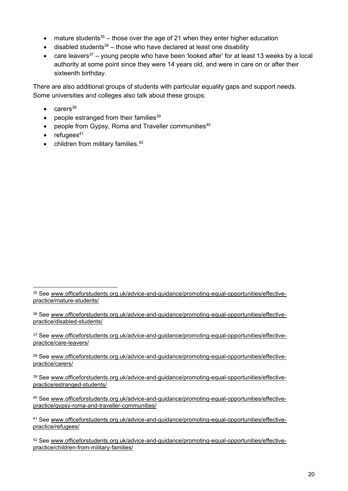- mature students<sup>35</sup> those over the age of 21 when they enter higher education
- disabled students<sup>36</sup> those who have declared at least one disability
- care leavers<sup>37</sup> young people who have been 'looked after' for at least 13 weeks by a local authority at some point since they were 14 years old, and were in care on or after their sixteenth birthday.

There are also additional groups of students with particular equality gaps and support needs. Some universities and colleges also talk about these groups:

- $\bullet$  carers<sup>38</sup>
- people estranged from their families $39$
- people from Gypsy, Roma and Traveller communities $40$
- $\bullet$  refugees<sup>41</sup>
- children from military families.<sup>42</sup>

<sup>&</sup>lt;sup>35</sup> See [www.officeforstudents.org.uk/advice-and-guidance/promoting-equal-opportunities/effective](http://www.officeforstudents.org.uk/advice-and-guidance/promoting-equal-opportunities/effective-practice/mature-students/)[practice/mature-students/](http://www.officeforstudents.org.uk/advice-and-guidance/promoting-equal-opportunities/effective-practice/mature-students/)

<sup>&</sup>lt;sup>36</sup> See [www.officeforstudents.org.uk/advice-and-guidance/promoting-equal-opportunities/effective](http://www.officeforstudents.org.uk/advice-and-guidance/promoting-equal-opportunities/effective-practice/disabled-students/)[practice/disabled-students/](http://www.officeforstudents.org.uk/advice-and-guidance/promoting-equal-opportunities/effective-practice/disabled-students/)

<sup>&</sup>lt;sup>37</sup> See [www.officeforstudents.org.uk/advice-and-guidance/promoting-equal-opportunities/effective](http://www.officeforstudents.org.uk/advice-and-guidance/promoting-equal-opportunities/effective-practice/care-leavers/)[practice/care-leavers/](http://www.officeforstudents.org.uk/advice-and-guidance/promoting-equal-opportunities/effective-practice/care-leavers/)

<sup>38</sup> See [www.officeforstudents.org.uk/advice-and-guidance/promoting-equal-opportunities/effective](http://www.officeforstudents.org.uk/advice-and-guidance/promoting-equal-opportunities/effective-practice/carers/)[practice/carers/](http://www.officeforstudents.org.uk/advice-and-guidance/promoting-equal-opportunities/effective-practice/carers/)

<sup>&</sup>lt;sup>39</sup> See [www.officeforstudents.org.uk/advice-and-guidance/promoting-equal-opportunities/effective](http://www.officeforstudents.org.uk/advice-and-guidance/promoting-equal-opportunities/effective-practice/estranged-students/)[practice/estranged-students/](http://www.officeforstudents.org.uk/advice-and-guidance/promoting-equal-opportunities/effective-practice/estranged-students/)

<sup>40</sup> See [www.officeforstudents.org.uk/advice-and-guidance/promoting-equal-opportunities/effective](http://www.officeforstudents.org.uk/advice-and-guidance/promoting-equal-opportunities/effective-practice/gypsy-roma-and-traveller-communities/)[practice/gypsy-roma-and-traveller-communities/](http://www.officeforstudents.org.uk/advice-and-guidance/promoting-equal-opportunities/effective-practice/gypsy-roma-and-traveller-communities/)

<sup>41</sup> See [www.officeforstudents.org.uk/advice-and-guidance/promoting-equal-opportunities/effective](http://www.officeforstudents.org.uk/advice-and-guidance/promoting-equal-opportunities/effective-practice/refugees/)[practice/refugees/](http://www.officeforstudents.org.uk/advice-and-guidance/promoting-equal-opportunities/effective-practice/refugees/)

<sup>42</sup> See [www.officeforstudents.org.uk/advice-and-guidance/promoting-equal-opportunities/effective](http://www.officeforstudents.org.uk/advice-and-guidance/promoting-equal-opportunities/effective-practice/children-from-military-families/)[practice/children-from-military-families/](http://www.officeforstudents.org.uk/advice-and-guidance/promoting-equal-opportunities/effective-practice/children-from-military-families/)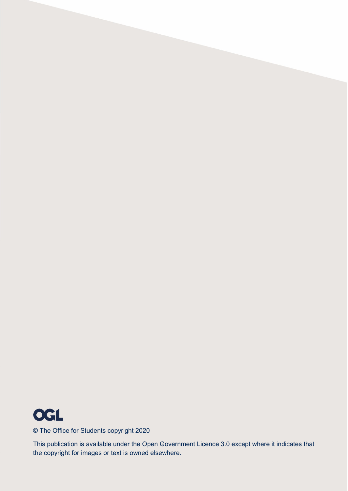

© The Office for Students copyright 2020

This publication is available under the Open Government Licence 3.0 except where it indicates that the copyright for images or text is owned elsewhere.